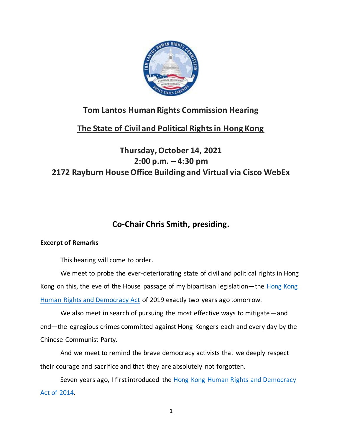

#### **Tom Lantos Human Rights Commission Hearing**

## **The State of Civil and Political Rights in Hong Kong**

## **Thursday, October 14, 2021 2:00 p.m. – 4:30 pm 2172 Rayburn House Office Building and Virtual via Cisco WebEx**

# **Co-Chair Chris Smith, presiding.**

#### **Excerpt of Remarks**

This hearing will come to order.

We meet to probe the ever-deteriorating state of civil and political rights in Hong Kong on this, the eve of the House passage of my bipartisan legislation—the Hong Kong [Human Rights and Democracy Act](https://www.congress.gov/bill/116th-congress/house-bill/3289/text?r=5&s=7) of 2019 exactly two years ago tomorrow.

We also meet in search of pursuing the most effective ways to mitigate—and end—the egregious crimes committed against Hong Kongers each and every day by the Chinese Communist Party.

And we meet to remind the brave democracy activists that we deeply respect their courage and sacrifice and that they are absolutely not forgotten.

Seven years ago, I first introduced the [Hong Kong Human Rights and Democracy](https://www.congress.gov/bill/113th-congress/house-bill/5696/text?r=4&s=3)  [Act of](https://www.congress.gov/bill/113th-congress/house-bill/5696/text?r=4&s=3) 2014.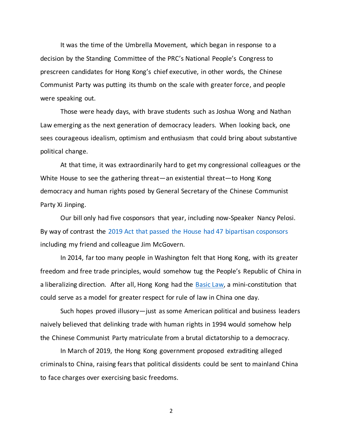It was the time of the Umbrella Movement, which began in response to a decision by the Standing Committee of the PRC's National People's Congress to prescreen candidates for Hong Kong's chief executive, in other words, the Chinese Communist Party was putting its thumb on the scale with greater force, and people were speaking out.

Those were heady days, with brave students such as Joshua Wong and Nathan Law emerging as the next generation of democracy leaders. When looking back, one sees courageous idealism, optimism and enthusiasm that could bring about substantive political change.

At that time, it was extraordinarily hard to get my congressional colleagues or the White House to see the gathering threat—an existential threat—to Hong Kong democracy and human rights posed by General Secretary of the Chinese Communist Party Xi Jinping.

Our bill only had five cosponsors that year, including now-Speaker Nancy Pelosi. By way of contrast the [2019 Act that passed the House had 47 bipartisan cosponsors](https://www.congress.gov/bill/116th-congress/house-bill/3289/cosponsors?r=5&s=7) including my friend and colleague Jim McGovern.

In 2014, far too many people in Washington felt that Hong Kong, with its greater freedom and free trade principles, would somehow tug the People's Republic of China in a liberalizing direction. After all, Hong Kong had the [Basic Law,](https://www.basiclaw.gov.hk/en/basiclaw/index.html) a mini-constitution that could serve as a model for greater respect for rule of law in China one day.

Such hopes proved illusory—just as some American political and business leaders naively believed that delinking trade with human rights in 1994 would somehow help the Chinese Communist Party matriculate from a brutal dictatorship to a democracy.

In March of 2019, the Hong Kong government proposed extraditing alleged criminals to China, raising fears that political dissidents could be sent to mainland China to face charges over exercising basic freedoms.

2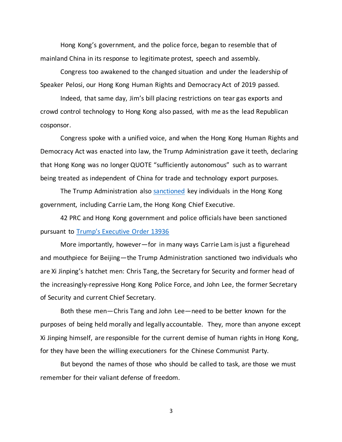Hong Kong's government, and the police force, began to resemble that of mainland China in its response to legitimate protest, speech and assembly.

Congress too awakened to the changed situation and under the leadership of Speaker Pelosi, our Hong Kong Human Rights and Democracy Act of 2019 passed.

Indeed, that same day, Jim's bill placing restrictions on tear gas exports and crowd control technology to Hong Kong also passed, with me as the lead Republican cosponsor.

Congress spoke with a unified voice, and when the Hong Kong Human Rights and Democracy Act was enacted into law, the Trump Administration gave it teeth, declaring that Hong Kong was no longer QUOTE "sufficiently autonomous" such as to warrant being treated as independent of China for trade and technology export purposes.

The Trump Administration also [sanctioned](https://hk.usconsulate.gov/n-2020080702/) key individuals in the Hong Kong government, including Carrie Lam, the Hong Kong Chief Executive.

42 PRC and Hong Kong government and police officials have been sanctioned pursuant to [Trump's Executive Order 13936](https://home.treasury.gov/system/files/126/13936.pdf)

More importantly, however—for in many ways Carrie Lam is just a figurehead and mouthpiece for Beijing—the Trump Administration sanctioned two individuals who are Xi Jinping's hatchet men: Chris Tang, the Secretary for Security and former head of the increasingly-repressive Hong Kong Police Force, and John Lee, the former Secretary of Security and current Chief Secretary.

Both these men—Chris Tang and John Lee—need to be better known for the purposes of being held morally and legally accountable. They, more than anyone except Xi Jinping himself, are responsible for the current demise of human rights in Hong Kong, for they have been the willing executioners for the Chinese Communist Party.

But beyond the names of those who should be called to task, are those we must remember for their valiant defense of freedom.

3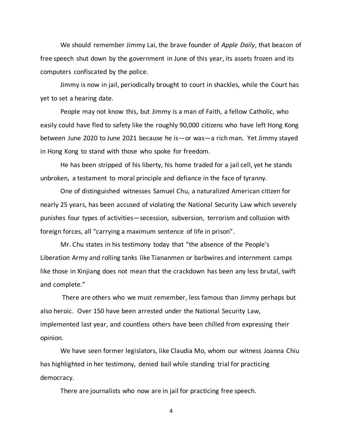We should remember Jimmy Lai, the brave founder of *Apple Daily*, that beacon of free speech shut down by the government in June of this year, its assets frozen and its computers confiscated by the police.

Jimmy is now in jail, periodically brought to court in shackles, while the Court has yet to set a hearing date.

People may not know this, but Jimmy is a man of Faith, a fellow Catholic, who easily could have fled to safety like the roughly 90,000 citizens who have left Hong Kong between June 2020 to June 2021 because he is—or was—a rich man. Yet Jimmy stayed in Hong Kong to stand with those who spoke for freedom.

He has been stripped of his liberty, his home traded for a jail cell, yet he stands unbroken, a testament to moral principle and defiance in the face of tyranny.

One of distinguished witnesses Samuel Chu, a naturalized American citizen for nearly 25 years, has been accused of violating the National Security Law which severely punishes four types of activities—secession, subversion, terrorism and collusion with foreign forces, all "carrying a maximum sentence of life in prison".

Mr. Chu states in his testimony today that "the absence of the People's Liberation Army and rolling tanks like Tiananmen or barbwires and internment camps like those in Xinjiang does not mean that the crackdown has been any less brutal, swift and complete."

There are others who we must remember, less famous than Jimmy perhaps but also heroic. Over 150 have been arrested under the National Security Law, implemented last year, and countless others have been chilled from expressing their opinion.

We have seen former legislators, like Claudia Mo, whom our witness Joanna Chiu has highlighted in her testimony, denied bail while standing trial for practicing democracy.

There are journalists who now are in jail for practicing free speech.

4